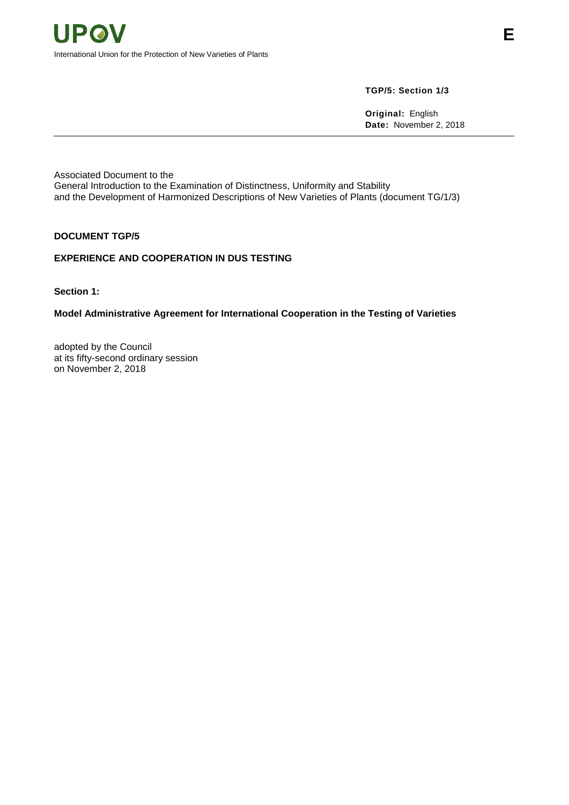**Original:** English **Date:** November 2, 2018

Associated Document to the General Introduction to the Examination of Distinctness, Uniformity and Stability and the Development of Harmonized Descriptions of New Varieties of Plants (document TG/1/3)

# **DOCUMENT TGP/5**

# **EXPERIENCE AND COOPERATION IN DUS TESTING**

**Section 1:** 

# **Model Administrative Agreement for International Cooperation in the Testing of Varieties**

adopted by the Council at its fifty-second ordinary session on November 2, 2018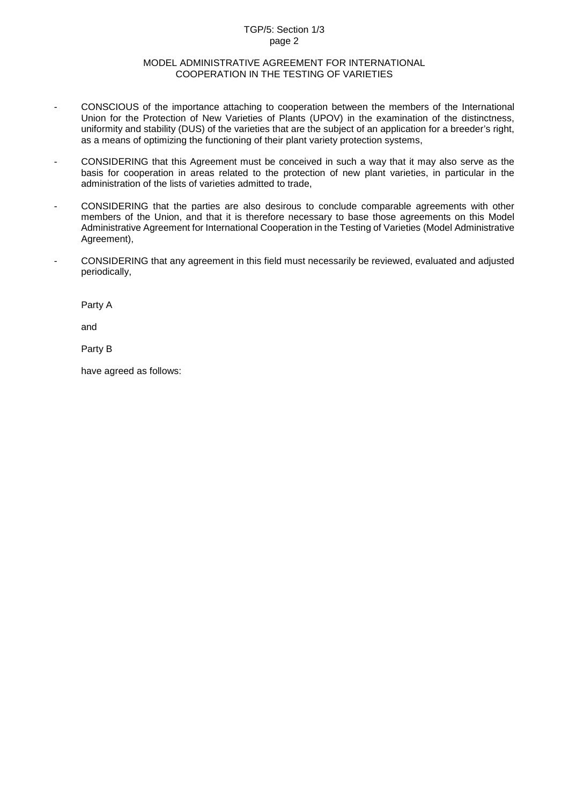## TGP/5: Section 1/3 page 2

# MODEL ADMINISTRATIVE AGREEMENT FOR INTERNATIONAL COOPERATION IN THE TESTING OF VARIETIES

- CONSCIOUS of the importance attaching to cooperation between the members of the International Union for the Protection of New Varieties of Plants (UPOV) in the examination of the distinctness, uniformity and stability (DUS) of the varieties that are the subject of an application for a breeder's right, as a means of optimizing the functioning of their plant variety protection systems,
- CONSIDERING that this Agreement must be conceived in such a way that it may also serve as the basis for cooperation in areas related to the protection of new plant varieties, in particular in the administration of the lists of varieties admitted to trade,
- CONSIDERING that the parties are also desirous to conclude comparable agreements with other members of the Union, and that it is therefore necessary to base those agreements on this Model Administrative Agreement for International Cooperation in the Testing of Varieties (Model Administrative Agreement),
- CONSIDERING that any agreement in this field must necessarily be reviewed, evaluated and adjusted periodically,

Party A

and

Party B

have agreed as follows: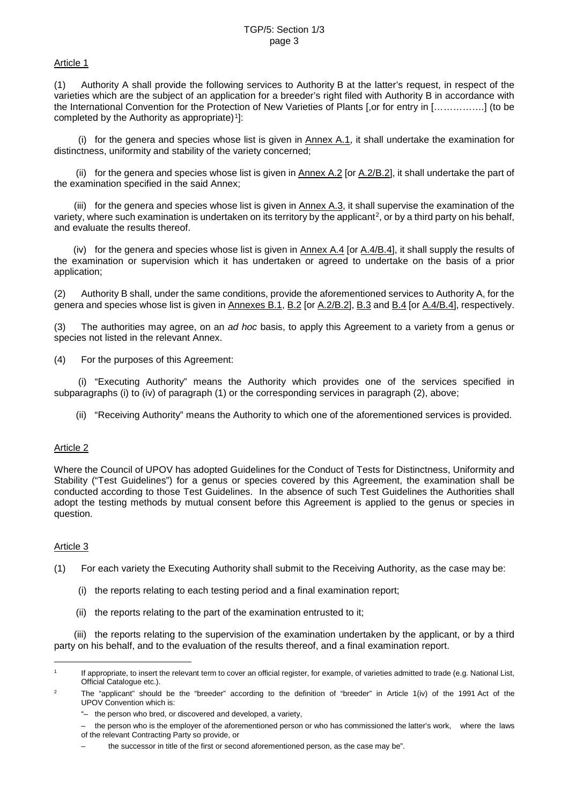## Article 1

(1) Authority A shall provide the following services to Authority B at the latter's request, in respect of the varieties which are the subject of an application for a breeder's right filed with Authority B in accordance with the International Convention for the Protection of New Varieties of Plants [,or for entry in […………….] (to be completed by the Authority as appropriate)<sup>[1](#page-2-0)</sup>]:

(i) for the genera and species whose list is given in  $\Delta n$ nex  $A.1$ , it shall undertake the examination for distinctness, uniformity and stability of the variety concerned;

(ii) for the genera and species whose list is given in Annex A.2 [or A.2/B.2], it shall undertake the part of the examination specified in the said Annex;

(iii) for the genera and species whose list is given in Annex A.3, it shall supervise the examination of the variety, where such examination is undertaken on its territory by the applicant[2,](#page-2-1) or by a third party on his behalf, and evaluate the results thereof.

(iv) for the genera and species whose list is given in  $\Delta$ nnex A.4 [or  $\Delta$ .4/B.4], it shall supply the results of the examination or supervision which it has undertaken or agreed to undertake on the basis of a prior application;

(2) Authority B shall, under the same conditions, provide the aforementioned services to Authority A, for the genera and species whose list is given in Annexes B.1, B.2 [or A.2/B.2], B.3 and B.4 [or A.4/B.4], respectively.

(3) The authorities may agree, on an *ad hoc* basis, to apply this Agreement to a variety from a genus or species not listed in the relevant Annex.

(4) For the purposes of this Agreement:

(i) "Executing Authority" means the Authority which provides one of the services specified in subparagraphs (i) to (iv) of paragraph (1) or the corresponding services in paragraph (2), above;

(ii) "Receiving Authority" means the Authority to which one of the aforementioned services is provided.

## Article 2

Where the Council of UPOV has adopted Guidelines for the Conduct of Tests for Distinctness, Uniformity and Stability ("Test Guidelines") for a genus or species covered by this Agreement, the examination shall be conducted according to those Test Guidelines. In the absence of such Test Guidelines the Authorities shall adopt the testing methods by mutual consent before this Agreement is applied to the genus or species in question.

## Article 3

(1) For each variety the Executing Authority shall submit to the Receiving Authority, as the case may be:

- (i) the reports relating to each testing period and a final examination report;
- (ii) the reports relating to the part of the examination entrusted to it;

(iii) the reports relating to the supervision of the examination undertaken by the applicant, or by a third party on his behalf, and to the evaluation of the results thereof, and a final examination report.

<span id="page-2-0"></span><sup>&</sup>lt;sup>1</sup> If appropriate, to insert the relevant term to cover an official register, for example, of varieties admitted to trade (e.g. National List, Official Catalogue etc.).

<span id="page-2-1"></span><sup>2</sup> The "applicant" should be the "breeder" according to the definition of "breeder" in Article 1(iv) of the 1991 Act of the UPOV Convention which is:

<sup>&</sup>quot;– the person who bred, or discovered and developed, a variety,

<sup>–</sup> the person who is the employer of the aforementioned person or who has commissioned the latter's work, where the laws of the relevant Contracting Party so provide, or

the successor in title of the first or second aforementioned person, as the case may be".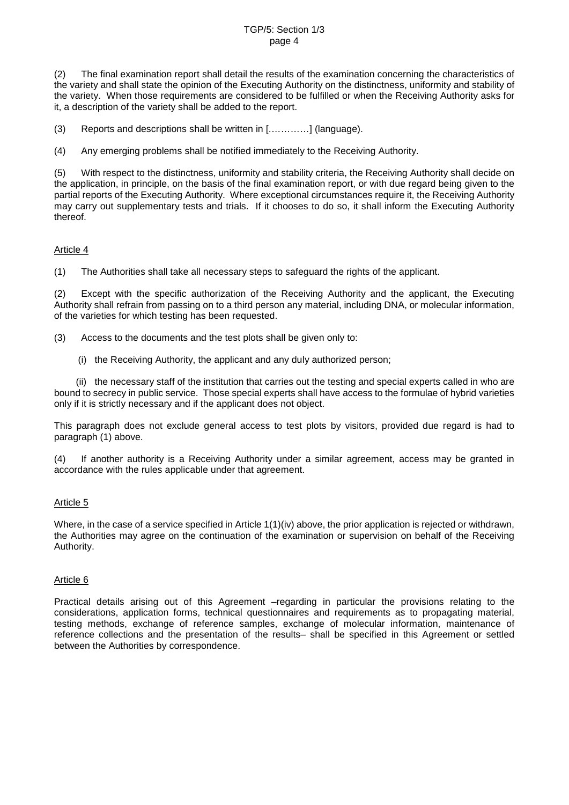## TGP/5: Section 1/3 page 4

(2) The final examination report shall detail the results of the examination concerning the characteristics of the variety and shall state the opinion of the Executing Authority on the distinctness, uniformity and stability of the variety. When those requirements are considered to be fulfilled or when the Receiving Authority asks for it, a description of the variety shall be added to the report.

(3) Reports and descriptions shall be written in [.…………] (language).

(4) Any emerging problems shall be notified immediately to the Receiving Authority.

(5) With respect to the distinctness, uniformity and stability criteria, the Receiving Authority shall decide on the application, in principle, on the basis of the final examination report, or with due regard being given to the partial reports of the Executing Authority. Where exceptional circumstances require it, the Receiving Authority may carry out supplementary tests and trials. If it chooses to do so, it shall inform the Executing Authority thereof.

# Article 4

(1) The Authorities shall take all necessary steps to safeguard the rights of the applicant.

(2) Except with the specific authorization of the Receiving Authority and the applicant, the Executing Authority shall refrain from passing on to a third person any material, including DNA, or molecular information, of the varieties for which testing has been requested.

- (3) Access to the documents and the test plots shall be given only to:
	- (i) the Receiving Authority, the applicant and any duly authorized person;

(ii) the necessary staff of the institution that carries out the testing and special experts called in who are bound to secrecy in public service. Those special experts shall have access to the formulae of hybrid varieties only if it is strictly necessary and if the applicant does not object.

This paragraph does not exclude general access to test plots by visitors, provided due regard is had to paragraph (1) above.

(4) If another authority is a Receiving Authority under a similar agreement, access may be granted in accordance with the rules applicable under that agreement.

## Article 5

Where, in the case of a service specified in Article 1(1)(iv) above, the prior application is rejected or withdrawn, the Authorities may agree on the continuation of the examination or supervision on behalf of the Receiving Authority.

## Article 6

Practical details arising out of this Agreement –regarding in particular the provisions relating to the considerations, application forms, technical questionnaires and requirements as to propagating material, testing methods, exchange of reference samples, exchange of molecular information, maintenance of reference collections and the presentation of the results– shall be specified in this Agreement or settled between the Authorities by correspondence.